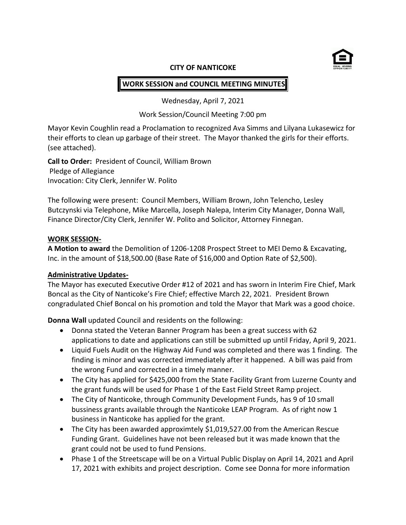

#### **CITY OF NANTICOKE**

# **WORK SESSION and COUNCIL MEETING MINUTES**

Wednesday, April 7, 2021

Work Session/Council Meeting 7:00 pm

Mayor Kevin Coughlin read a Proclamation to recognized Ava Simms and Lilyana Lukasewicz for their efforts to clean up garbage of their street. The Mayor thanked the girls for their efforts. (see attached).

**Call to Order:** President of Council, William Brown Pledge of Allegiance Invocation: City Clerk, Jennifer W. Polito

The following were present: Council Members, William Brown, John Telencho, Lesley Butczynski via Telephone, Mike Marcella, Joseph Nalepa, Interim City Manager, Donna Wall, Finance Director/City Clerk, Jennifer W. Polito and Solicitor, Attorney Finnegan.

#### **WORK SESSION-**

**A Motion to award** the Demolition of 1206-1208 Prospect Street to MEI Demo & Excavating, Inc. in the amount of \$18,500.00 (Base Rate of \$16,000 and Option Rate of \$2,500).

#### **Administrative Updates-**

The Mayor has executed Executive Order #12 of 2021 and has sworn in Interim Fire Chief, Mark Boncal as the City of Nanticoke's Fire Chief; effective March 22, 2021. President Brown congradulated Chief Boncal on his promotion and told the Mayor that Mark was a good choice.

**Donna Wall** updated Council and residents on the following:

- Donna stated the Veteran Banner Program has been a great success with 62 applications to date and applications can still be submitted up until Friday, April 9, 2021.
- Liquid Fuels Audit on the Highway Aid Fund was completed and there was 1 finding. The finding is minor and was corrected immediately after it happened. A bill was paid from the wrong Fund and corrected in a timely manner.
- The City has applied for \$425,000 from the State Facility Grant from Luzerne County and the grant funds will be used for Phase 1 of the East Field Street Ramp project.
- The City of Nanticoke, through Community Development Funds, has 9 of 10 small bussiness grants available through the Nanticoke LEAP Program. As of right now 1 business in Nanticoke has applied for the grant.
- The City has been awarded approximtely \$1,019,527.00 from the American Rescue Funding Grant. Guidelines have not been released but it was made known that the grant could not be used to fund Pensions.
- Phase 1 of the Streetscape will be on a Virtual Public Display on April 14, 2021 and April 17, 2021 with exhibits and project description. Come see Donna for more information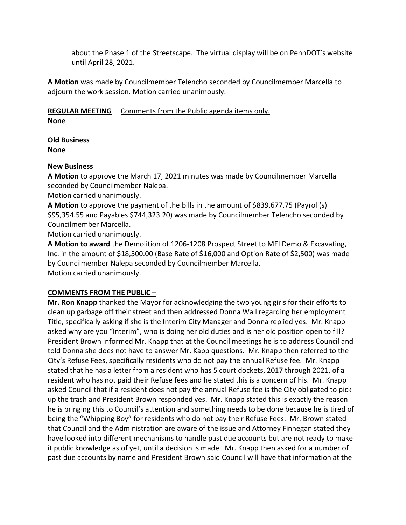about the Phase 1 of the Streetscape. The virtual display will be on PennDOT's website until April 28, 2021.

**A Motion** was made by Councilmember Telencho seconded by Councilmember Marcella to adjourn the work session. Motion carried unanimously.

**REGULAR MEETING** Comments from the Public agenda items only. **None**

#### **Old Business None**

## **New Business**

**A Motion** to approve the March 17, 2021 minutes was made by Councilmember Marcella seconded by Councilmember Nalepa.

Motion carried unanimously.

**A Motion** to approve the payment of the bills in the amount of \$839,677.75 (Payroll(s) \$95,354.55 and Payables \$744,323.20) was made by Councilmember Telencho seconded by Councilmember Marcella.

Motion carried unanimously.

**A Motion to award** the Demolition of 1206-1208 Prospect Street to MEI Demo & Excavating, Inc. in the amount of \$18,500.00 (Base Rate of \$16,000 and Option Rate of \$2,500) was made by Councilmember Nalepa seconded by Councilmember Marcella. Motion carried unanimously.

## **COMMENTS FROM THE PUBLIC –**

**Mr. Ron Knapp** thanked the Mayor for acknowledging the two young girls for their efforts to clean up garbage off their street and then addressed Donna Wall regarding her employment Title, specifically asking if she is the Interim City Manager and Donna replied yes. Mr. Knapp asked why are you "Interim", who is doing her old duties and is her old position open to fill? President Brown informed Mr. Knapp that at the Council meetings he is to address Council and told Donna she does not have to answer Mr. Kapp questions. Mr. Knapp then referred to the City's Refuse Fees, specifically residents who do not pay the annual Refuse fee. Mr. Knapp stated that he has a letter from a resident who has 5 court dockets, 2017 through 2021, of a resident who has not paid their Refuse fees and he stated this is a concern of his. Mr. Knapp asked Council that if a resident does not pay the annual Refuse fee is the City obligated to pick up the trash and President Brown responded yes. Mr. Knapp stated this is exactly the reason he is bringing this to Council's attention and something needs to be done because he is tired of being the "Whipping Boy" for residents who do not pay their Refuse Fees. Mr. Brown stated that Council and the Administration are aware of the issue and Attorney Finnegan stated they have looked into different mechanisms to handle past due accounts but are not ready to make it public knowledge as of yet, until a decision is made. Mr. Knapp then asked for a number of past due accounts by name and President Brown said Council will have that information at the